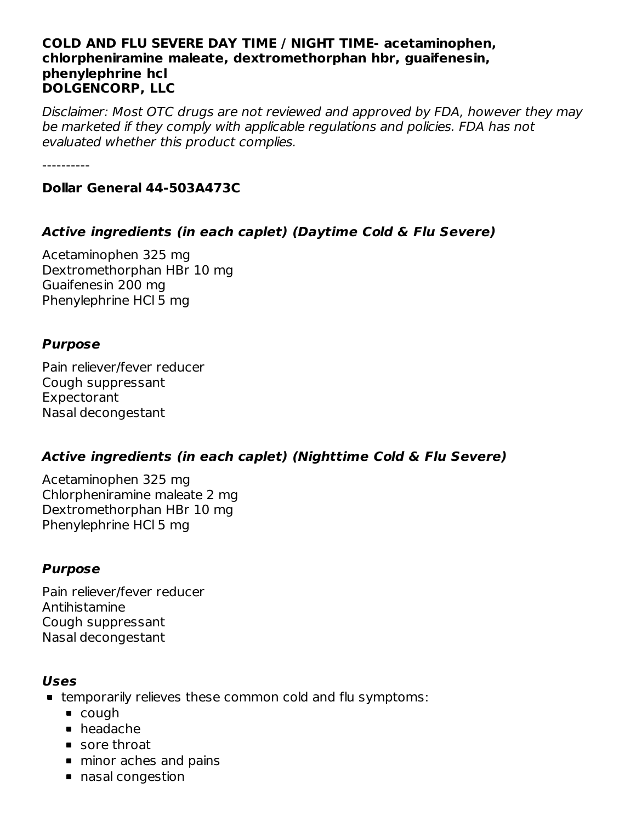#### **COLD AND FLU SEVERE DAY TIME / NIGHT TIME- acetaminophen, chlorpheniramine maleate, dextromethorphan hbr, guaifenesin, phenylephrine hcl DOLGENCORP, LLC**

Disclaimer: Most OTC drugs are not reviewed and approved by FDA, however they may be marketed if they comply with applicable regulations and policies. FDA has not evaluated whether this product complies.

----------

#### **Dollar General 44-503A473C**

### **Active ingredients (in each caplet) (Daytime Cold & Flu Severe)**

Acetaminophen 325 mg Dextromethorphan HBr 10 mg Guaifenesin 200 mg Phenylephrine HCl 5 mg

#### **Purpose**

Pain reliever/fever reducer Cough suppressant Expectorant Nasal decongestant

### **Active ingredients (in each caplet) (Nighttime Cold & Flu Severe)**

Acetaminophen 325 mg Chlorpheniramine maleate 2 mg Dextromethorphan HBr 10 mg Phenylephrine HCl 5 mg

#### **Purpose**

Pain reliever/fever reducer Antihistamine Cough suppressant Nasal decongestant

#### **Uses**

- temporarily relieves these common cold and flu symptoms:
	- cough
	- headache
	- sore throat
	- minor aches and pains
	- nasal congestion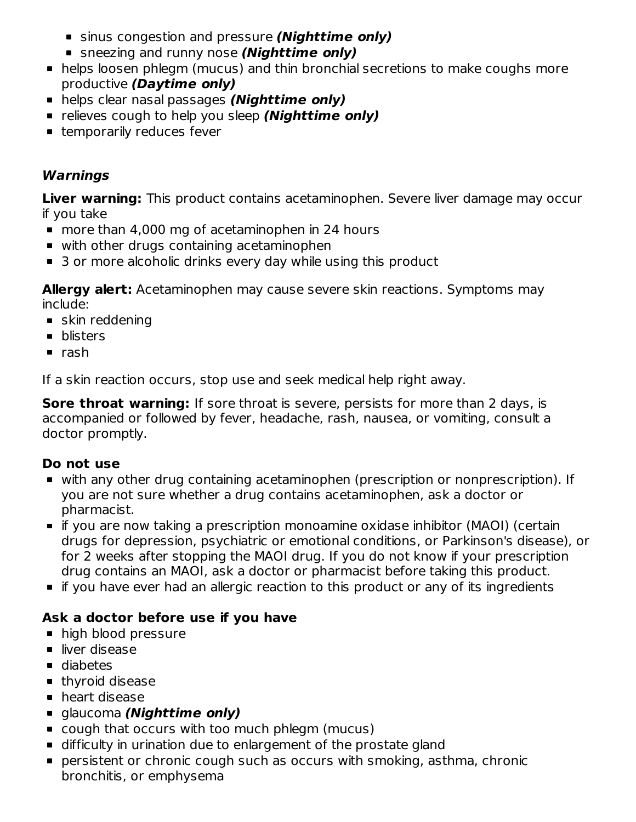- sinus congestion and pressure **(Nighttime only)**
- sneezing and runny nose **(Nighttime only)**
- helps loosen phlegm (mucus) and thin bronchial secretions to make coughs more productive **(Daytime only)**
- helps clear nasal passages **(Nighttime only)**
- **Example 1** relieves cough to help you sleep **(Nighttime only)**
- **Example 1** temporarily reduces fever

## **Warnings**

**Liver warning:** This product contains acetaminophen. Severe liver damage may occur if you take

- more than 4,000 mg of acetaminophen in 24 hours
- with other drugs containing acetaminophen
- 3 or more alcoholic drinks every day while using this product

**Allergy alert:** Acetaminophen may cause severe skin reactions. Symptoms may include:

- **skin reddening**
- **•** blisters
- $rac{1}{2}$ rash

If a skin reaction occurs, stop use and seek medical help right away.

**Sore throat warning:** If sore throat is severe, persists for more than 2 days, is accompanied or followed by fever, headache, rash, nausea, or vomiting, consult a doctor promptly.

### **Do not use**

- with any other drug containing acetaminophen (prescription or nonprescription). If you are not sure whether a drug contains acetaminophen, ask a doctor or pharmacist.
- if you are now taking a prescription monoamine oxidase inhibitor (MAOI) (certain drugs for depression, psychiatric or emotional conditions, or Parkinson's disease), or for 2 weeks after stopping the MAOI drug. If you do not know if your prescription drug contains an MAOI, ask a doctor or pharmacist before taking this product.
- if you have ever had an allergic reaction to this product or any of its ingredients

# **Ask a doctor before use if you have**

- high blood pressure
- liver disease
- diabetes
- **thyroid disease**
- **heart disease**
- glaucoma **(Nighttime only)**
- cough that occurs with too much phlegm (mucus)
- difficulty in urination due to enlargement of the prostate gland
- persistent or chronic cough such as occurs with smoking, asthma, chronic bronchitis, or emphysema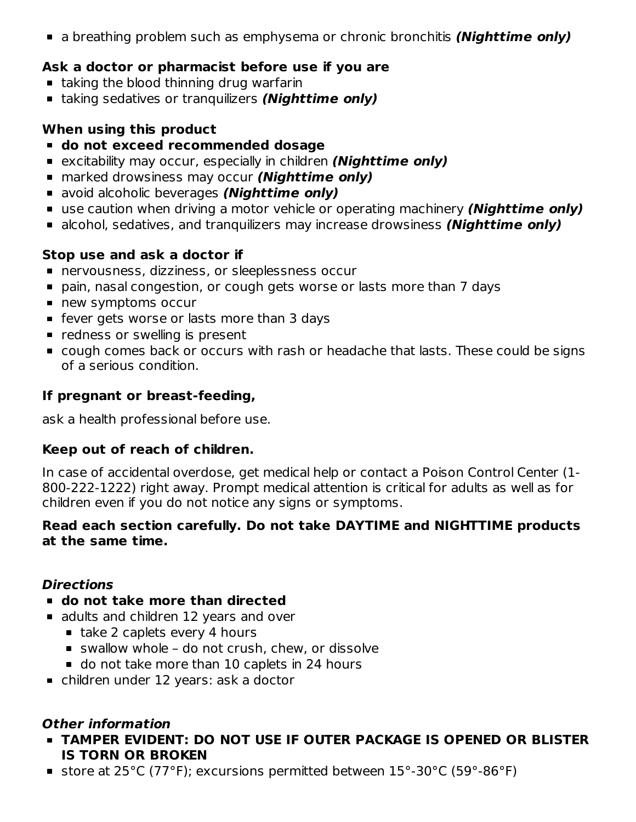a breathing problem such as emphysema or chronic bronchitis **(Nighttime only)**

## **Ask a doctor or pharmacist before use if you are**

- **taking the blood thinning drug warfarin**
- taking sedatives or tranquilizers **(Nighttime only)**

### **When using this product**

- **do not exceed recommended dosage**
- excitability may occur, especially in children **(Nighttime only)**
- marked drowsiness may occur **(Nighttime only)**
- avoid alcoholic beverages **(Nighttime only)**
- use caution when driving a motor vehicle or operating machinery **(Nighttime only)**
- alcohol, sedatives, and tranquilizers may increase drowsiness **(Nighttime only)**

## **Stop use and ask a doctor if**

- nervousness, dizziness, or sleeplessness occur
- pain, nasal congestion, or cough gets worse or lasts more than 7 days
- new symptoms occur
- **F** fever gets worse or lasts more than 3 days
- **•** redness or swelling is present
- cough comes back or occurs with rash or headache that lasts. These could be signs of a serious condition.

## **If pregnant or breast-feeding,**

ask a health professional before use.

### **Keep out of reach of children.**

In case of accidental overdose, get medical help or contact a Poison Control Center (1- 800-222-1222) right away. Prompt medical attention is critical for adults as well as for children even if you do not notice any signs or symptoms.

#### **Read each section carefully. Do not take DAYTIME and NIGHTTIME products at the same time.**

### **Directions**

- **do not take more than directed**
- adults and children 12 years and over
	- $\blacksquare$  take 2 caplets every 4 hours
	- swallow whole do not crush, chew, or dissolve
	- o do not take more than 10 caplets in 24 hours
- children under 12 years: ask a doctor

### **Other information**

- **TAMPER EVIDENT: DO NOT USE IF OUTER PACKAGE IS OPENED OR BLISTER IS TORN OR BROKEN**
- store at 25°C (77°F); excursions permitted between 15°-30°C (59°-86°F)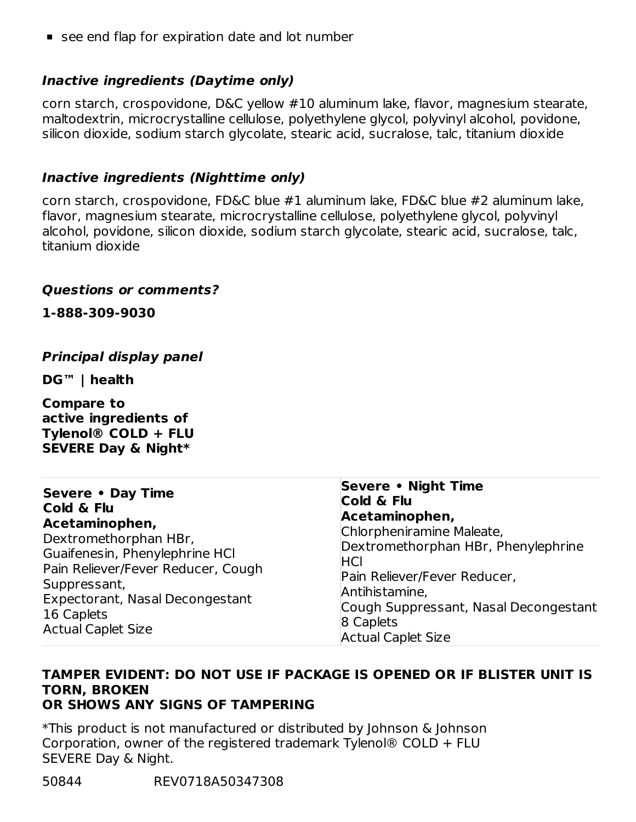■ see end flap for expiration date and lot number

### **Inactive ingredients (Daytime only)**

corn starch, crospovidone, D&C yellow #10 aluminum lake, flavor, magnesium stearate, maltodextrin, microcrystalline cellulose, polyethylene glycol, polyvinyl alcohol, povidone, silicon dioxide, sodium starch glycolate, stearic acid, sucralose, talc, titanium dioxide

### **Inactive ingredients (Nighttime only)**

corn starch, crospovidone, FD&C blue #1 aluminum lake, FD&C blue #2 aluminum lake, flavor, magnesium stearate, microcrystalline cellulose, polyethylene glycol, polyvinyl alcohol, povidone, silicon dioxide, sodium starch glycolate, stearic acid, sucralose, talc, titanium dioxide

#### **Questions or comments?**

**1-888-309-9030**

### **Principal display panel**

**DG™ | health**

**Compare to active ingredients of Tylenol® COLD + FLU SEVERE Day & Night\***

| Severe • Day Time<br>Cold & Flu<br>Acetaminophen,<br>Dextromethorphan HBr,<br>Guaifenesin, Phenylephrine HCl<br>Pain Reliever/Fever Reducer, Cough<br>Suppressant,<br>Expectorant, Nasal Decongestant | Severe • Night Time<br>Cold & Flu<br>Acetaminophen,<br>Chlorpheniramine Maleate,<br>Dextromethorphan HBr, Phenylephrine<br><b>IHCI</b><br>Pain Reliever/Fever Reducer,<br>Antihistamine,<br>Cough Suppressant, Nasal Decongestant |
|-------------------------------------------------------------------------------------------------------------------------------------------------------------------------------------------------------|-----------------------------------------------------------------------------------------------------------------------------------------------------------------------------------------------------------------------------------|
| 16 Caplets                                                                                                                                                                                            | 8 Caplets                                                                                                                                                                                                                         |
| <b>Actual Caplet Size</b>                                                                                                                                                                             | <b>Actual Caplet Size</b>                                                                                                                                                                                                         |

#### **TAMPER EVIDENT: DO NOT USE IF PACKAGE IS OPENED OR IF BLISTER UNIT IS TORN, BROKEN OR SHOWS ANY SIGNS OF TAMPERING**

\*This product is not manufactured or distributed by Johnson & Johnson Corporation, owner of the registered trademark Tylenol® COLD + FLU SEVERE Day & Night.

50844 REV0718A50347308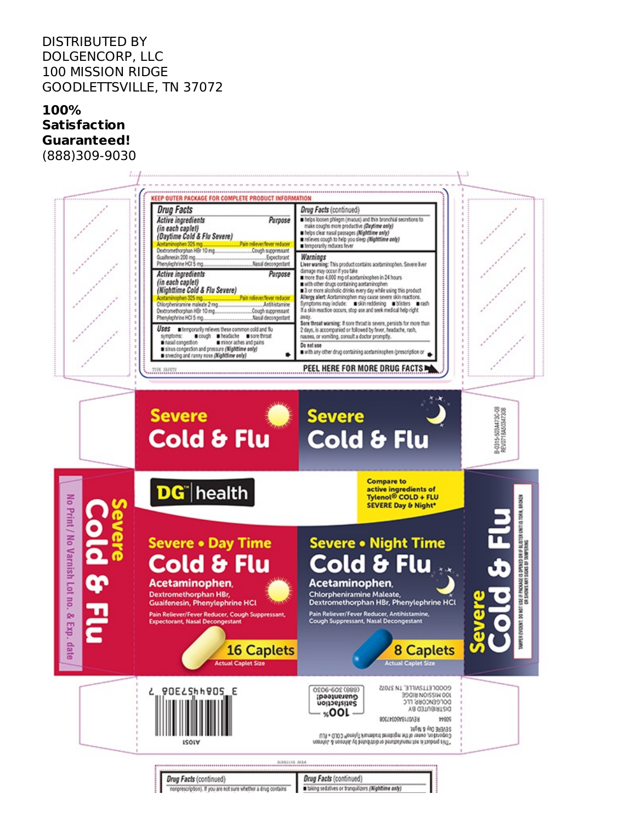#### DISTRIBUTED BY DOLGENCORP, LLC 100 MISSION RIDGE GOODLETTSVILLE, TN 37072

#### **100% Satisfaction Guaranteed!** (888)309-9030

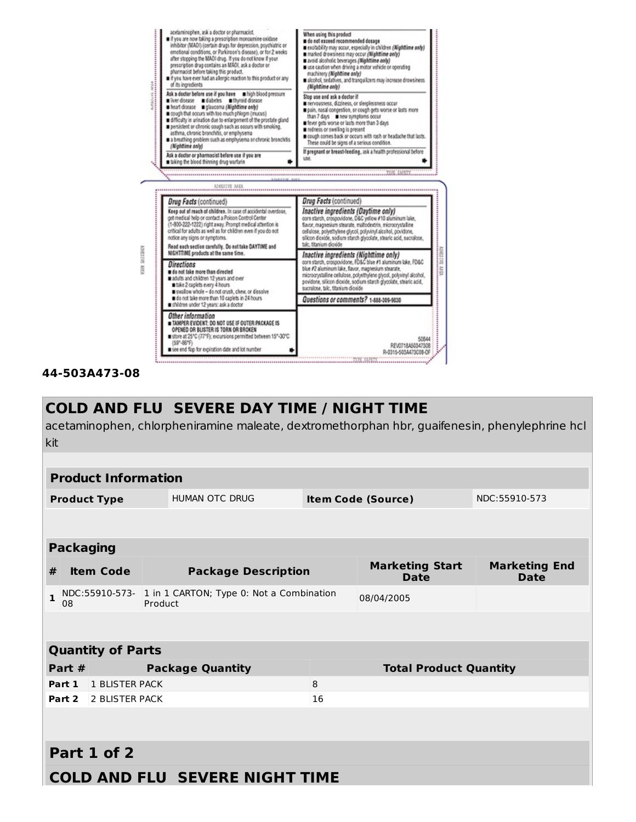

#### **44-503A473-08**

## **COLD AND FLU SEVERE DAY TIME / NIGHT TIME**

acetaminophen, chlorpheniramine maleate, dextromethorphan hbr, guaifenesin, phenylephrine hcl kit

|                                              | <b>Product Information</b>                                                                                              |                          |  |                           |               |                               |  |  |
|----------------------------------------------|-------------------------------------------------------------------------------------------------------------------------|--------------------------|--|---------------------------|---------------|-------------------------------|--|--|
| <b>HUMAN OTC DRUG</b><br><b>Product Type</b> |                                                                                                                         |                          |  | <b>Item Code (Source)</b> | NDC:55910-573 |                               |  |  |
|                                              |                                                                                                                         |                          |  |                           |               |                               |  |  |
|                                              |                                                                                                                         | <b>Packaging</b>         |  |                           |               |                               |  |  |
| #                                            | <b>Marketing Start</b><br><b>Marketing End</b><br><b>Item Code</b><br><b>Package Description</b><br><b>Date</b><br>Date |                          |  |                           |               |                               |  |  |
| $\mathbf{1}$                                 | NDC:55910-573- 1 in 1 CARTON; Type 0: Not a Combination<br>Product<br>08                                                |                          |  | 08/04/2005                |               |                               |  |  |
|                                              |                                                                                                                         |                          |  |                           |               |                               |  |  |
|                                              |                                                                                                                         | <b>Quantity of Parts</b> |  |                           |               |                               |  |  |
|                                              | Part #                                                                                                                  |                          |  | <b>Package Quantity</b>   |               | <b>Total Product Quantity</b> |  |  |
|                                              | 1 BLISTER PACK<br>8<br>Part 1                                                                                           |                          |  |                           |               |                               |  |  |
|                                              | 2 BLISTER PACK<br>Part 2<br>16                                                                                          |                          |  |                           |               |                               |  |  |
|                                              |                                                                                                                         |                          |  |                           |               |                               |  |  |
| Part 1 of 2                                  |                                                                                                                         |                          |  |                           |               |                               |  |  |
|                                              | <b>COLD AND FLU SEVERE NIGHT TIME</b>                                                                                   |                          |  |                           |               |                               |  |  |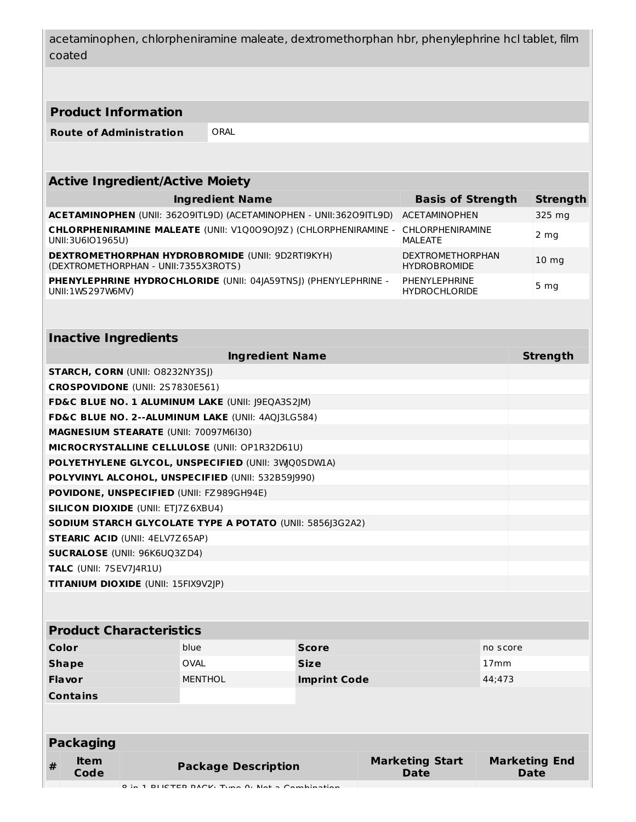acetaminophen, chlorpheniramine maleate, dextromethorphan hbr, phenylephrine hcl tablet, film coated

#### **Product Information**

**Route of Administration** ORAL

| <b>Active Ingredient/Active Moiety</b>                                                          |                                                |                 |  |  |  |  |
|-------------------------------------------------------------------------------------------------|------------------------------------------------|-----------------|--|--|--|--|
| <b>Ingredient Name</b>                                                                          | <b>Basis of Strength</b>                       | <b>Strength</b> |  |  |  |  |
| ACETAMINOPHEN (UNII: 36209ITL9D) (ACETAMINOPHEN - UNII: 36209ITL9D)                             | <b>ACETAMINOPHEN</b>                           | 325 mg          |  |  |  |  |
| CHLORPHENIRAMINE MALEATE (UNII: V1Q009019Z) (CHLORPHENIRAMINE -<br>UNII:3U6IO1965U)             | <b>CHLORPHENIRAMINE</b><br>MALEATE             | 2 mg            |  |  |  |  |
| <b>DEXTROMETHORPHAN HYDROBROMIDE (UNII: 9D2RTI9KYH)</b><br>(DEXTROMETHORPHAN - UNII:7355X3ROTS) | <b>DEXTROMETHORPHAN</b><br><b>HYDROBROMIDE</b> | $10 \text{ mg}$ |  |  |  |  |
| PHENYLEPHRINE HYDROCHLORIDE (UNII: 04 A59TNS ) (PHENYLEPHRINE -<br>UNII:1WS297W6MV)             | PHENYLEPHRINE<br><b>HYDROCHLORIDE</b>          | 5 <sub>mg</sub> |  |  |  |  |

| <b>Inactive Ingredients</b>                                     |                 |
|-----------------------------------------------------------------|-----------------|
| <b>Ingredient Name</b>                                          | <b>Strength</b> |
| <b>STARCH, CORN (UNII: O8232NY3SJ)</b>                          |                 |
| <b>CROSPOVIDONE (UNII: 2S7830E561)</b>                          |                 |
| FD&C BLUE NO. 1 ALUMINUM LAKE (UNII: J9EQA3S2JM)                |                 |
| FD&C BLUE NO. 2--ALUMINUM LAKE (UNII: 4AQJ3LG584)               |                 |
| <b>MAGNESIUM STEARATE (UNII: 70097M6I30)</b>                    |                 |
| MICROCRYSTALLINE CELLULOSE (UNII: OP1R32D61U)                   |                 |
| POLYETHYLENE GLYCOL, UNSPECIFIED (UNII: 3WQ0SDWIA)              |                 |
| POLYVINYL ALCOHOL, UNSPECIFIED (UNII: 532B59 990)               |                 |
| <b>POVIDONE, UNSPECIFIED (UNII: FZ989GH94E)</b>                 |                 |
| <b>SILICON DIOXIDE (UNII: ETJ7Z6XBU4)</b>                       |                 |
| <b>SODIUM STARCH GLYCOLATE TYPE A POTATO (UNII: 5856 3G2A2)</b> |                 |
| <b>STEARIC ACID (UNII: 4ELV7Z65AP)</b>                          |                 |
| <b>SUCRALOSE</b> (UNII: 96K6UQ3ZD4)                             |                 |
| TALC (UNII: 7SEV7J4R1U)                                         |                 |
| <b>TITANIUM DIOXIDE (UNII: 15FIX9V2JP)</b>                      |                 |

| <b>Product Characteristics</b> |                                               |                     |                                       |                              |  |  |
|--------------------------------|-----------------------------------------------|---------------------|---------------------------------------|------------------------------|--|--|
| Color                          | blue                                          | <b>Score</b>        |                                       | no score                     |  |  |
| <b>Shape</b>                   | <b>OVAL</b>                                   | <b>Size</b>         |                                       | 17 <sub>mm</sub>             |  |  |
| <b>Flavor</b>                  | <b>MENTHOL</b>                                | <b>Imprint Code</b> |                                       | 44;473                       |  |  |
| <b>Contains</b>                |                                               |                     |                                       |                              |  |  |
|                                |                                               |                     |                                       |                              |  |  |
|                                |                                               |                     |                                       |                              |  |  |
| <b>Packaging</b>               |                                               |                     |                                       |                              |  |  |
| <b>Item</b><br>#<br>Code       | <b>Package Description</b>                    |                     | <b>Marketing Start</b><br><b>Date</b> | <b>Marketing End</b><br>Date |  |  |
|                                | 0 in 1 DUCTED DACK, Type 0; Not a Campination |                     |                                       |                              |  |  |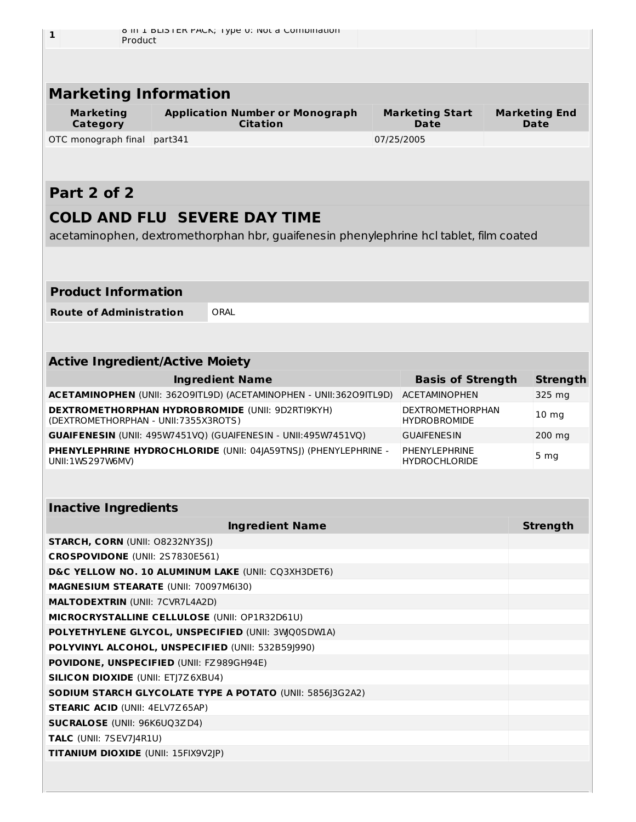| 1                                               |         | o in I bubler PACK; Type 0: Not a Combination                                          |  |                                                |  |                              |
|-------------------------------------------------|---------|----------------------------------------------------------------------------------------|--|------------------------------------------------|--|------------------------------|
| Product                                         |         |                                                                                        |  |                                                |  |                              |
|                                                 |         |                                                                                        |  |                                                |  |                              |
|                                                 |         |                                                                                        |  |                                                |  |                              |
| <b>Marketing Information</b>                    |         |                                                                                        |  |                                                |  |                              |
| <b>Marketing</b><br><b>Category</b>             |         | <b>Application Number or Monograph</b><br><b>Citation</b>                              |  | <b>Marketing Start</b><br>Date                 |  | <b>Marketing End</b><br>Date |
| OTC monograph final                             | part341 |                                                                                        |  | 07/25/2005                                     |  |                              |
|                                                 |         |                                                                                        |  |                                                |  |                              |
|                                                 |         |                                                                                        |  |                                                |  |                              |
| Part 2 of 2                                     |         |                                                                                        |  |                                                |  |                              |
|                                                 |         | <b>COLD AND FLU SEVERE DAY TIME</b>                                                    |  |                                                |  |                              |
|                                                 |         |                                                                                        |  |                                                |  |                              |
|                                                 |         | acetaminophen, dextromethorphan hbr, quaifenesin phenylephrine hcl tablet, film coated |  |                                                |  |                              |
|                                                 |         |                                                                                        |  |                                                |  |                              |
|                                                 |         |                                                                                        |  |                                                |  |                              |
| <b>Product Information</b>                      |         |                                                                                        |  |                                                |  |                              |
| <b>Route of Administration</b>                  |         | ORAL                                                                                   |  |                                                |  |                              |
|                                                 |         |                                                                                        |  |                                                |  |                              |
|                                                 |         |                                                                                        |  |                                                |  |                              |
| <b>Active Ingredient/Active Moiety</b>          |         |                                                                                        |  |                                                |  |                              |
|                                                 |         | <b>Ingredient Name</b>                                                                 |  | <b>Basis of Strength</b>                       |  | <b>Strength</b>              |
|                                                 |         | ACETAMINOPHEN (UNII: 36209ITL9D) (ACETAMINOPHEN - UNII:36209ITL9D)                     |  | <b>ACETAMINOPHEN</b>                           |  | 325 mg                       |
| (DEXTROMETHORPHAN - UNII:7355X3ROTS)            |         | <b>DEXTROMETHORPHAN HYDROBROMIDE (UNII: 9D2RTI9KYH)</b>                                |  | <b>DEXTROMETHORPHAN</b><br><b>HYDROBROMIDE</b> |  | 10 <sub>mg</sub>             |
|                                                 |         | <b>GUAIFENESIN</b> (UNII: 495W7451VQ) (GUAIFENESIN - UNII:495W7451VQ)                  |  | <b>GUAIFENESIN</b>                             |  | 200 mg                       |
|                                                 |         | PHENYLEPHRINE HYDROCHLORIDE (UNII: 04JA59TNSJ) (PHENYLEPHRINE -                        |  | PHENYL FPHRINE                                 |  | 5 <sub>mg</sub>              |
| UNII:1WS297W6MV)                                |         |                                                                                        |  | <b>HYDROCHLORIDE</b>                           |  |                              |
|                                                 |         |                                                                                        |  |                                                |  |                              |
| <b>Inactive Ingredients</b>                     |         |                                                                                        |  |                                                |  |                              |
|                                                 |         | <b>Ingredient Name</b>                                                                 |  |                                                |  | <b>Strength</b>              |
| <b>STARCH, CORN (UNII: O8232NY3SJ)</b>          |         |                                                                                        |  |                                                |  |                              |
| CROSPOVIDONE (UNII: 2S7830E561)                 |         |                                                                                        |  |                                                |  |                              |
|                                                 |         | D&C YELLOW NO. 10 ALUMINUM LAKE (UNII: CQ3XH3DET6)                                     |  |                                                |  |                              |
| MAGNESIUM STEARATE (UNII: 70097M6I30)           |         |                                                                                        |  |                                                |  |                              |
| <b>MALTODEXTRIN (UNII: 7CVR7L4A2D)</b>          |         |                                                                                        |  |                                                |  |                              |
| MICROCRYSTALLINE CELLULOSE (UNII: OP1R32D61U)   |         |                                                                                        |  |                                                |  |                              |
|                                                 |         | POLYETHYLENE GLYCOL, UNSPECIFIED (UNII: 3WQ0SDWIA)                                     |  |                                                |  |                              |
|                                                 |         | POLYVINYL ALCOHOL, UNSPECIFIED (UNII: 532B59J990)                                      |  |                                                |  |                              |
| <b>POVIDONE, UNSPECIFIED (UNII: FZ989GH94E)</b> |         |                                                                                        |  |                                                |  |                              |
| <b>SILICON DIOXIDE (UNII: ETJ7Z6XBU4)</b>       |         |                                                                                        |  |                                                |  |                              |
|                                                 |         | SODIUM STARCH GLYCOLATE TYPE A POTATO (UNII: 5856J3G2A2)                               |  |                                                |  |                              |

**STEARIC ACID** (UNII: 4ELV7Z65AP)

**SUCRALOSE** (UNII: 96K6UQ3ZD4)

**TALC** (UNII: 7SEV7J4R1U)

**TITANIUM DIOXIDE** (UNII: 15FIX9V2JP)